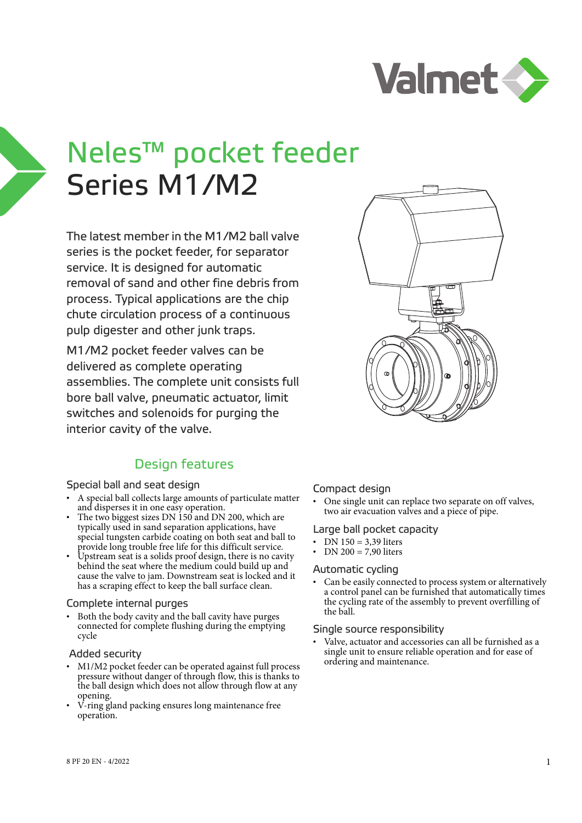

# Neles™ pocket feeder Series M1/M2

The latest member in the M1/M2 ball valve series is the pocket feeder, for separator service. It is designed for automatic removal of sand and other fine debris from process. Typical applications are the chip chute circulation process of a continuous pulp digester and other junk traps.

M1/M2 pocket feeder valves can be delivered as complete operating assemblies. The complete unit consists full bore ball valve, pneumatic actuator, limit switches and solenoids for purging the interior cavity of the valve.

# Design features

#### Special ball and seat design

- A special ball collects large amounts of particulate matter and disperses it in one easy operation.
- The two biggest sizes DN 150 and DN 200, which are typically used in sand separation applications, have special tungsten carbide coating on both seat and ball to provide long trouble free life for this difficult service.
- Upstream seat is a solids proof design, there is no cavity behind the seat where the medium could build up and cause the valve to jam. Downstream seat is locked and it has a scraping effect to keep the ball surface clean.

#### Complete internal purges

• Both the body cavity and the ball cavity have purges connected for complete flushing during the emptying cycle

#### Added security

- M1/M2 pocket feeder can be operated against full process pressure without danger of through flow, this is thanks to the ball design which does not allow through flow at any opening.
- V-ring gland packing ensures long maintenance free operation.



• One single unit can replace two separate on off valves, two air evacuation valves and a piece of pipe.

#### Large ball pocket capacity

- DN 150 = 3,39 liters
- DN 200 = 7,90 liters

#### Automatic cycling

Can be easily connected to process system or alternatively a control panel can be furnished that automatically times the cycling rate of the assembly to prevent overfilling of the ball.

#### Single source responsibility

Valve, actuator and accessories can all be furnished as a single unit to ensure reliable operation and for ease of ordering and maintenance.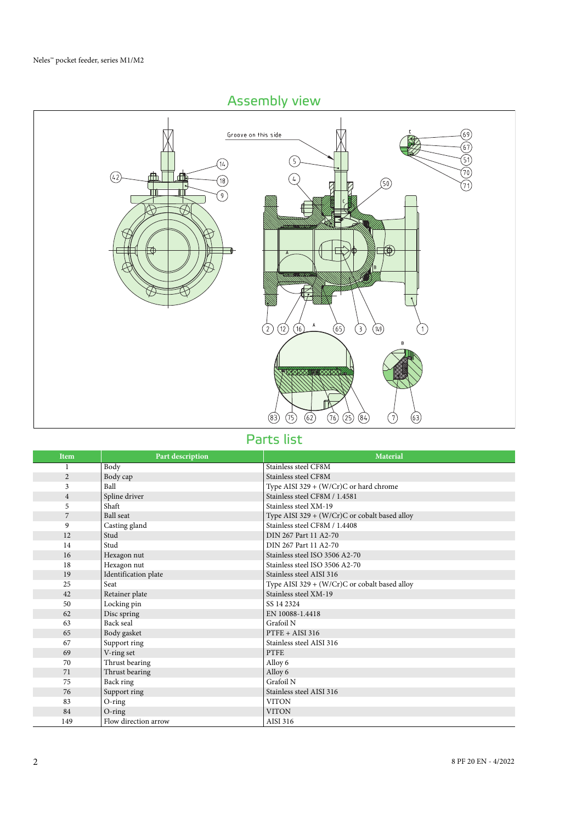# Assembly view



Parts list

| Item           | Part description     | <b>Material</b>                                 |
|----------------|----------------------|-------------------------------------------------|
|                | Body                 | Stainless steel CF8M                            |
| $\overline{2}$ | Body cap             | Stainless steel CF8M                            |
| 3              | Ball                 | Type AISI 329 + (W/Cr)C or hard chrome          |
| $\overline{4}$ | Spline driver        | Stainless steel CF8M / 1.4581                   |
| 5              | Shaft                | Stainless steel XM-19                           |
| $\overline{7}$ | <b>Ball</b> seat     | Type AISI 329 + (W/Cr)C or cobalt based alloy   |
| 9              | Casting gland        | Stainless steel CF8M / 1.4408                   |
| 12             | Stud                 | DIN 267 Part 11 A2-70                           |
| 14             | Stud                 | DIN 267 Part 11 A2-70                           |
| 16             | Hexagon nut          | Stainless steel ISO 3506 A2-70                  |
| 18             | Hexagon nut          | Stainless steel ISO 3506 A2-70                  |
| 19             | Identification plate | Stainless steel AISI 316                        |
| 25             | Seat                 | Type AISI 329 + $(W/Cr)C$ or cobalt based alloy |
| 42             | Retainer plate       | Stainless steel XM-19                           |
| 50             | Locking pin          | SS 14 2324                                      |
| 62             | Disc spring          | EN 10088-1.4418                                 |
| 63             | Back seal            | Grafoil N                                       |
| 65             | Body gasket          | $PTFE + AISI 316$                               |
| 67             | Support ring         | Stainless steel AISI 316                        |
| 69             | V-ring set           | <b>PTFE</b>                                     |
| 70             | Thrust bearing       | Alloy 6                                         |
| 71             | Thrust bearing       | Alloy 6                                         |
| 75             | Back ring            | Grafoil N                                       |
| 76             | Support ring         | Stainless steel AISI 316                        |
| 83             | O-ring               | <b>VITON</b>                                    |
| 84             | $O$ -ring            | <b>VITON</b>                                    |
| 149            | Flow direction arrow | AISI 316                                        |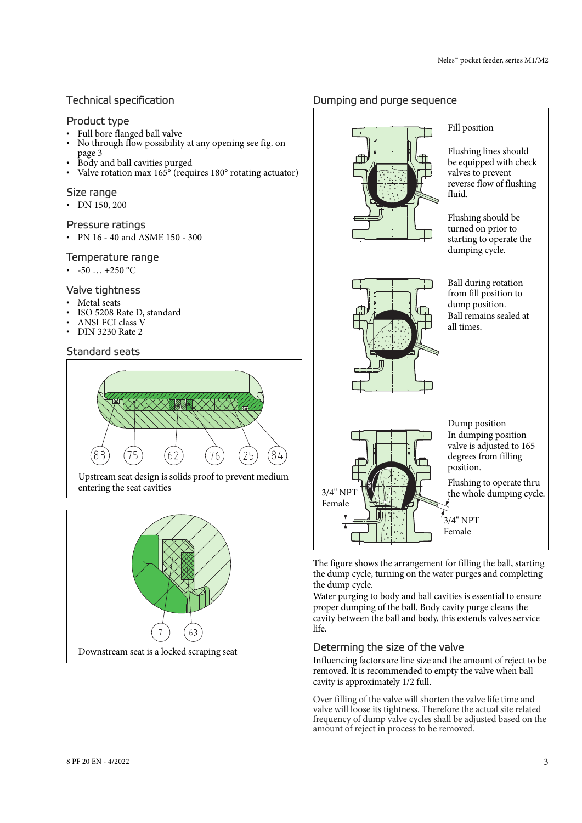## Technical specification

#### Product type

- Full bore flanged ball valve
- No through flow possibility at any opening see fig. on page 3
- Body and ball cavities purged
- Valve rotation max 165<sup>°</sup> (requires 180<sup>°</sup> rotating actuator)

#### Size range

• DN 150, 200

#### Pressure ratings

• PN 16 - 40 and ASME 150 - 300

#### Temperature range

•  $-50$  …  $+250$  °C

#### Valve tightness

- Metal seats
- ISO 5208 Rate D, standard
- ANSI FCI class V
- DIN 3230 Rate 2

### Standard seats



Upstream seat design is solids proof to prevent medium entering the seat cavities



## Dumping and purge sequence





#### Fill position

Flushing lines should be equipped with check valves to prevent reverse flow of flushing fluid.

Flushing should be turned on prior to starting to operate the dumping cycle.

Ball during rotation from fill position to dump position. Ball remains sealed at all times.



The figure shows the arrangement for filling the ball, starting the dump cycle, turning on the water purges and completing the dump cycle.

Water purging to body and ball cavities is essential to ensure proper dumping of the ball. Body cavity purge cleans the cavity between the ball and body, this extends valves service life.

## Determing the size of the valve

Influencing factors are line size and the amount of reject to be removed. It is recommended to empty the valve when ball cavity is approximately 1/2 full.

Over filling of the valve will shorten the valve life time and valve will loose its tightness. Therefore the actual site related frequency of dump valve cycles shall be adjusted based on the amount of reject in process to be removed.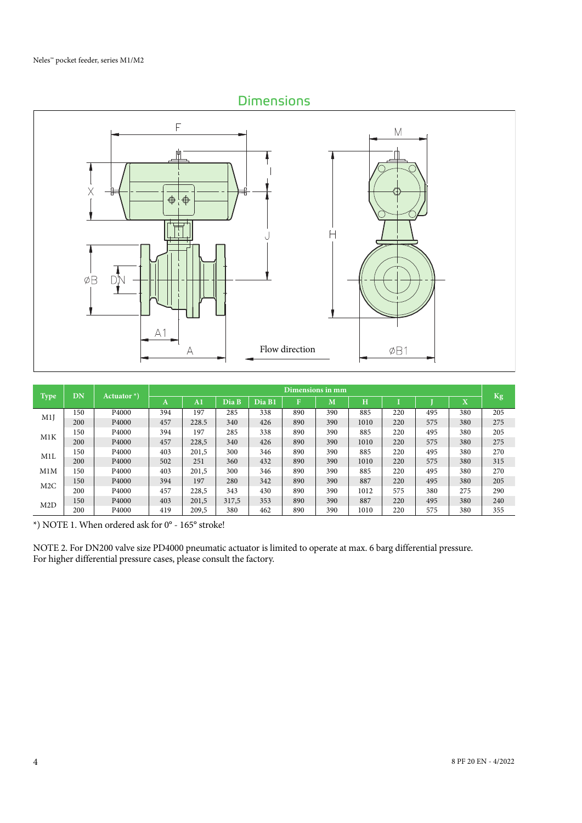# **Dimensions**



|             | DN  |                   | Dimensions in mm |                |       |        |     |     |      |     |     |                              |     |
|-------------|-----|-------------------|------------------|----------------|-------|--------|-----|-----|------|-----|-----|------------------------------|-----|
| <b>Type</b> |     | Actuator $*$ )    | A                | A <sub>1</sub> | Dia B | Dia B1 | F   | М   | H    |     |     | $\overline{\mathbf{v}}$<br>л | Kg  |
| M1J         | 150 | P <sub>4000</sub> | 394              | 197            | 285   | 338    | 890 | 390 | 885  | 220 | 495 | 380                          | 205 |
|             | 200 | P <sub>4000</sub> | 457              | 228.5          | 340   | 426    | 890 | 390 | 1010 | 220 | 575 | 380                          | 275 |
| M1K         | 150 | P4000             | 394              | 197            | 285   | 338    | 890 | 390 | 885  | 220 | 495 | 380                          | 205 |
|             | 200 | P <sub>4000</sub> | 457              | 228,5          | 340   | 426    | 890 | 390 | 1010 | 220 | 575 | 380                          | 275 |
| M1L         | 150 | P <sub>4000</sub> | 403              | 201,5          | 300   | 346    | 890 | 390 | 885  | 220 | 495 | 380                          | 270 |
|             | 200 | P <sub>4000</sub> | 502              | 251            | 360   | 432    | 890 | 390 | 1010 | 220 | 575 | 380                          | 315 |
| M1M         | 150 | P4000             | 403              | 201.5          | 300   | 346    | 890 | 390 | 885  | 220 | 495 | 380                          | 270 |
| M2C         | 150 | P <sub>4000</sub> | 394              | 197            | 280   | 342    | 890 | 390 | 887  | 220 | 495 | 380                          | 205 |
|             | 200 | P <sub>4000</sub> | 457              | 228,5          | 343   | 430    | 890 | 390 | 1012 | 575 | 380 | 275                          | 290 |
| M2D         | 150 | P <sub>4000</sub> | 403              | 201,5          | 317.5 | 353    | 890 | 390 | 887  | 220 | 495 | 380                          | 240 |
|             | 200 | P <sub>4000</sub> | 419              | 209,5          | 380   | 462    | 890 | 390 | 1010 | 220 | 575 | 380                          | 355 |

 $^{\star})$  NOTE 1. When ordered ask for 0° - 165° stroke!

NOTE 2. For DN200 valve size PD4000 pneumatic actuator is limited to operate at max. 6 barg differential pressure. For higher differential pressure cases, please consult the factory.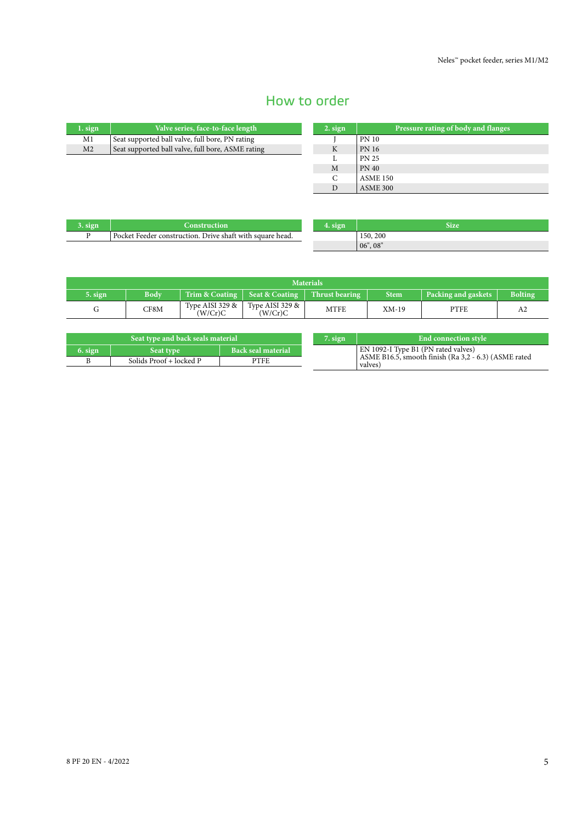# How to order

| $1.$ sign      | Valve series, face-to-face length                 |
|----------------|---------------------------------------------------|
| M1             | Seat supported ball valve, full bore, PN rating   |
| M <sub>2</sub> | Seat supported ball valve, full bore, ASME rating |

| $2.$ sign | Pressure rating of body and flanges |
|-----------|-------------------------------------|
|           | <b>PN 10</b>                        |
| K         | <b>PN 16</b>                        |
|           | <b>PN 25</b>                        |
| M         | <b>PN 40</b>                        |
| C         | <b>ASME 150</b>                     |
|           | <b>ASME 300</b>                     |

| 3. sign | <b>Construction</b>                                       | 4. sign |  |
|---------|-----------------------------------------------------------|---------|--|
|         | Pocket Feeder construction. Drive shaft with square head. |         |  |

| 4. sign | <b>Size</b> |
|---------|-------------|
|         | 150, 200    |
|         | 06", 08"    |

| <b>Materials</b> |             |                            |                               |                         |             |                     |                |  |  |
|------------------|-------------|----------------------------|-------------------------------|-------------------------|-------------|---------------------|----------------|--|--|
| 5. sign          | <b>Body</b> | Trim & Coating             | Seat & Coating                | Thrust bearing <b>P</b> | <b>Stem</b> | Packing and gaskets | <b>Bolting</b> |  |  |
|                  | CF8M        | Type AISI 329 &<br>(W/Cr)C | Type AISI 329 $\&$<br>(W/Cr)C | MTFE                    | $XM-19$     | PTFE                | A2             |  |  |

| EN 1092-I Type B1 (PN rated valves)<br><b>Back seal material</b><br>$6.$ sign<br>Seat type<br>ASME B16.5, smooth finish (Ra 3,2 - 6.3) (ASME rated | Seat type and back seals material |                         |      |  | 7. sign | End connection style |
|----------------------------------------------------------------------------------------------------------------------------------------------------|-----------------------------------|-------------------------|------|--|---------|----------------------|
|                                                                                                                                                    |                                   |                         |      |  |         |                      |
| valves)                                                                                                                                            |                                   | Solids Proof + locked P | PTFE |  |         |                      |